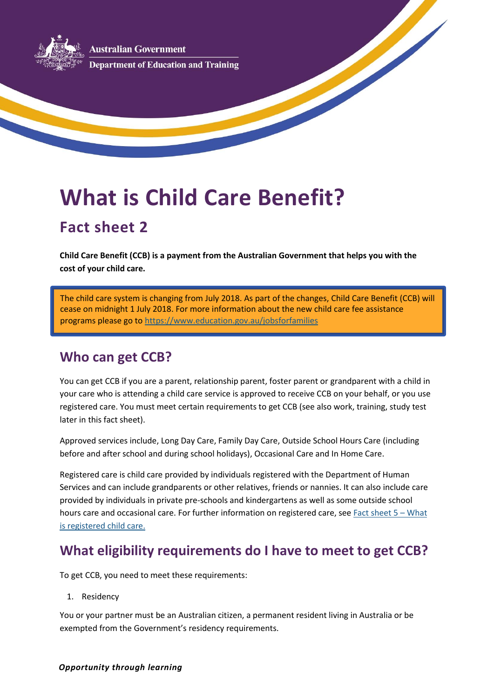**ustralian Government Department of Education and Training** 

# **What is Child Care Benefit?**

# **Fact sheet 2**

**Child Care Benefit (CCB) is a payment from the Australian Government that helps you with the cost of your child care.**

The child care system is changing from July 2018. As part of the changes, Child Care Benefit (CCB) will cease on midnight 1 July 2018. For more information about the new child care fee assistance programs please go to <https://www.education.gov.au/jobsforfamilies>

# **Who can get CCB?**

You can get CCB if you are a parent, relationship parent, foster parent or grandparent with a child in your care who is attending a child care service is approved to receive CCB on your behalf, or you use registered care. You must meet certain requirements to get CCB (see also work, training, study test later in this fact sheet).

Approved services include, Long Day Care, Family Day Care, Outside School Hours Care (including before and after school and during school holidays), Occasional Care and In Home Care.

Registered care is child care provided by individuals registered with the Department of Human Services and can include grandparents or other relatives, friends or nannies. It can also include care provided by individuals in private pre-schools and kindergartens as well as some outside school hours care and occasional care. For further information on registered care, see [Fact sheet 5](https://docs.education.gov.au/node/3198) – What [is registered child care.](https://docs.education.gov.au/node/3198)

# **What eligibility requirements do I have to meet to get CCB?**

To get CCB, you need to meet these requirements:

1. Residency

You or your partner must be an Australian citizen, a permanent resident living in Australia or be exempted from the Government's residency requirements.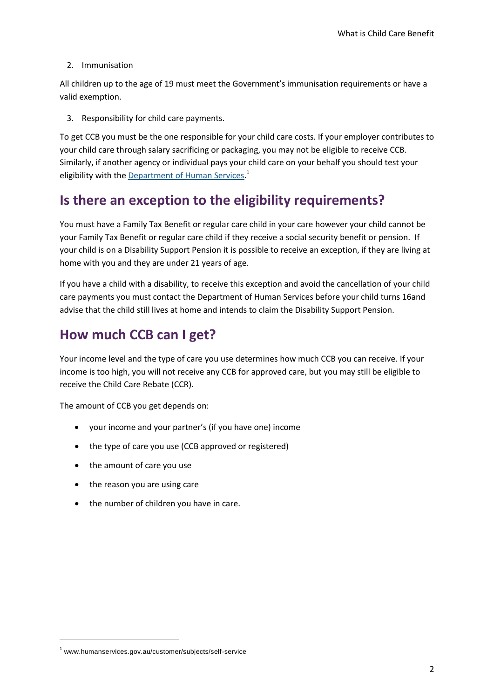#### 2. Immunisation

All children up to the age of 19 must meet the Government's immunisation requirements or have a valid exemption.

3. Responsibility for child care payments.

To get CCB you must be the one responsible for your child care costs. If your employer contributes to your child care through salary sacrificing or packaging, you may not be eligible to receive CCB. Similarly, if another agency or individual pays your child care on your behalf you should test your eligibility with th[e Department of Human Services.](http://www.humanservices.gov.au/customer/subjects/self-service)<sup>1</sup>

# **Is there an exception to the eligibility requirements?**

You must have a Family Tax Benefit or regular care child in your care however your child cannot be your Family Tax Benefit or regular care child if they receive a social security benefit or pension. If your child is on a Disability Support Pension it is possible to receive an exception, if they are living at home with you and they are under 21 years of age.

If you have a child with a disability, to receive this exception and avoid the cancellation of your child care payments you must contact the Department of Human Services before your child turns 16and advise that the child still lives at home and intends to claim the Disability Support Pension.

# **How much CCB can I get?**

Your income level and the type of care you use determines how much CCB you can receive. If your income is too high, you will not receive any CCB for approved care, but you may still be eligible to receive the Child Care Rebate (CCR).

The amount of CCB you get depends on:

- your income and your partner's (if you have one) income
- the type of care you use (CCB approved or registered)
- the amount of care you use
- the reason you are using care
- the number of children you have in care.

**.** 

<sup>1</sup> www.humanservices.gov.au/customer/subjects/self-service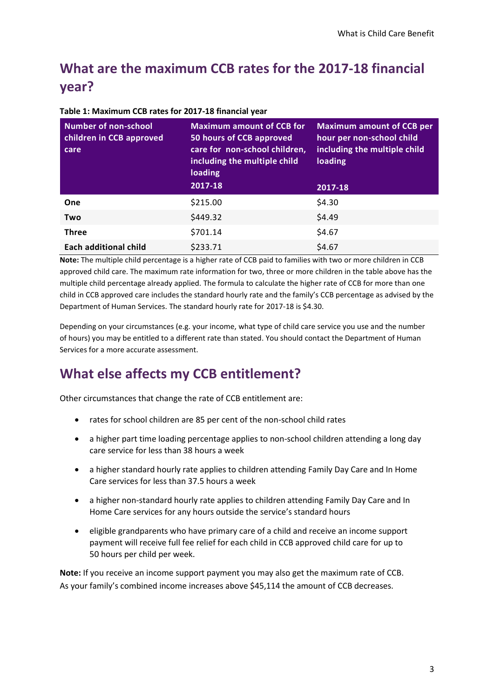# **What are the maximum CCB rates for the 2017-18 financial year?**

| <b>Number of non-school</b><br>children in CCB approved<br>care | <b>Maximum amount of CCB for</b><br>50 hours of CCB approved<br>care for non-school children,<br>including the multiple child<br>loading | <b>Maximum amount of CCB per</b><br>hour per non-school child<br>including the multiple child<br>loading |
|-----------------------------------------------------------------|------------------------------------------------------------------------------------------------------------------------------------------|----------------------------------------------------------------------------------------------------------|
|                                                                 | 2017-18                                                                                                                                  | 2017-18                                                                                                  |
| One                                                             | \$215.00                                                                                                                                 | \$4.30                                                                                                   |
| Two                                                             | \$449.32                                                                                                                                 | \$4.49                                                                                                   |
| <b>Three</b>                                                    | \$701.14                                                                                                                                 | \$4.67                                                                                                   |
| Each additional child                                           | \$233.71                                                                                                                                 | \$4.67                                                                                                   |

**Table 1: Maximum CCB rates for 2017-18 financial year**

**Note:** The multiple child percentage is a higher rate of CCB paid to families with two or more children in CCB approved child care. The maximum rate information for two, three or more children in the table above has the multiple child percentage already applied. The formula to calculate the higher rate of CCB for more than one child in CCB approved care includes the standard hourly rate and the family's CCB percentage as advised by the Department of Human Services. The standard hourly rate for 2017-18 is \$4.30.

Depending on your circumstances (e.g. your income, what type of child care service you use and the number of hours) you may be entitled to a different rate than stated. You should contact the Department of Human Services for a more accurate assessment.

# **What else affects my CCB entitlement?**

Other circumstances that change the rate of CCB entitlement are:

- rates for school children are 85 per cent of the non-school child rates
- a higher part time loading percentage applies to non-school children attending a long day care service for less than 38 hours a week
- a higher standard hourly rate applies to children attending Family Day Care and In Home Care services for less than 37.5 hours a week
- a higher non-standard hourly rate applies to children attending Family Day Care and In Home Care services for any hours outside the service's standard hours
- eligible grandparents who have primary care of a child and receive an income support payment will receive full fee relief for each child in CCB approved child care for up to 50 hours per child per week.

**Note:** If you receive an income support payment you may also get the maximum rate of CCB. As your family's combined income increases above \$45,114 the amount of CCB decreases.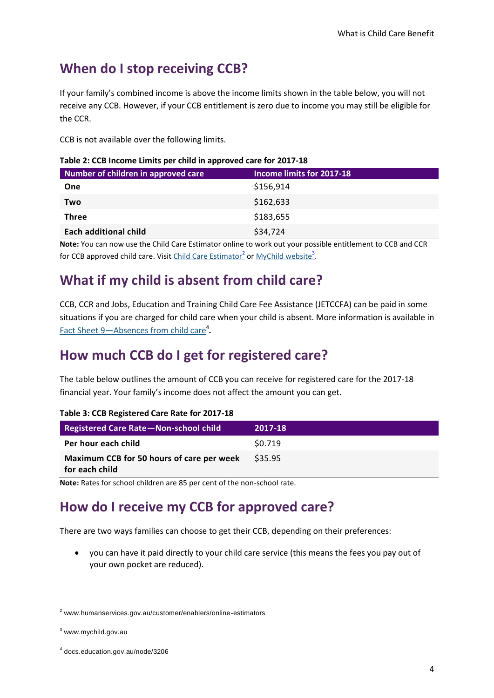# **When do I stop receiving CCB?**

If your family's combined income is above the income limits shown in the table below, you will not receive any CCB. However, if your CCB entitlement is zero due to income you may still be eligible for the CCR.

CCB is not available over the following limits.

| Number of children in approved care | Income limits for 2017-18 |
|-------------------------------------|---------------------------|
| One                                 | \$156,914                 |
| Two                                 | \$162,633                 |
| <b>Three</b>                        | \$183,655                 |
| <b>Each additional child</b>        | \$34,724                  |

| Table 2: CCB Income Limits per child in approved care for 2017-18 |  |  |  |
|-------------------------------------------------------------------|--|--|--|
|-------------------------------------------------------------------|--|--|--|

**Note:** You can now use the Child Care Estimator online to work out your possible entitlement to CCB and CCR for CCB approved child care. Visit *Child Care Estimator*<sup>2</sup> or *MyChild website*<sup>3</sup>.

#### **What if my child is absent from child care?**

CCB, CCR and Jobs, Education and Training Child Care Fee Assistance (JETCCFA) can be paid in some situations if you are charged for child care when your child is absent. More information is available in Fact Sheet 9-[Absences from child care](https://docs.education.gov.au/node/3206)<sup>4</sup>.

# **How much CCB do I get for registered care?**

The table below outlines the amount of CCB you can receive for registered care for the 2017-18 financial year. Your family's income does not affect the amount you can get.

| Table 5: CCD INCRISTER Care nate for E017 10                |         |  |
|-------------------------------------------------------------|---------|--|
| <b>Registered Care Rate-Non-school child</b>                | 2017-18 |  |
| Per hour each child                                         | \$0.719 |  |
| Maximum CCB for 50 hours of care per week<br>for each child | \$35.95 |  |

#### **Table 3: CCB Registered Care Rate for 2017-18**

**Note:** Rates for school children are 85 per cent of the non-school rate.

#### **How do I receive my CCB for approved care?**

There are two ways families can choose to get their CCB, depending on their preferences:

 you can have it paid directly to your child care service (this means the fees you pay out of your own pocket are reduced).

**.** 

<sup>2</sup> www.humanservices.gov.au/customer/enablers/online-estimators

<sup>3</sup> www.mychild.gov.au

<sup>4</sup> docs.education.gov.au/node/3206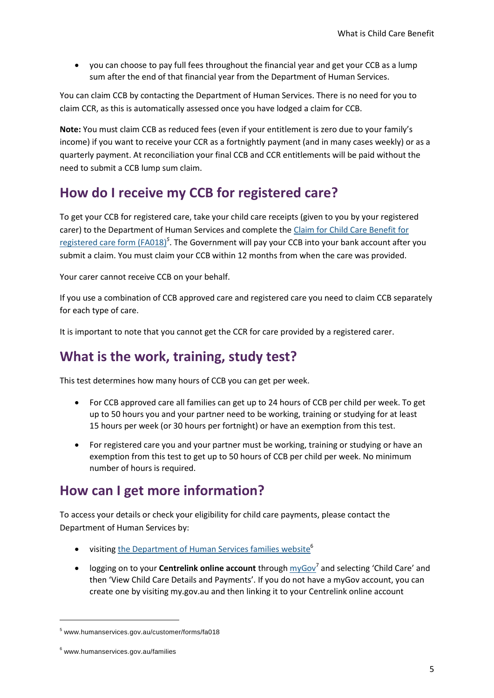you can choose to pay full fees throughout the financial year and get your CCB as a lump sum after the end of that financial year from the Department of Human Services.

You can claim CCB by contacting the Department of Human Services. There is no need for you to claim CCR, as this is automatically assessed once you have lodged a claim for CCB.

**Note:** You must claim CCB as reduced fees (even if your entitlement is zero due to your family's income) if you want to receive your CCR as a fortnightly payment (and in many cases weekly) or as a quarterly payment. At reconciliation your final CCB and CCR entitlements will be paid without the need to submit a CCB lump sum claim.

#### **How do I receive my CCB for registered care?**

To get your CCB for registered care, take your child care receipts (given to you by your registered carer) to the Department of Human Services and complete the [Claim for Child Care Benefit for](http://www.humanservices.gov.au/customer/forms/fa018)  [registered care form \(FA018\)](http://www.humanservices.gov.au/customer/forms/fa018)*<sup>5</sup>* . The Government will pay your CCB into your bank account after you submit a claim. You must claim your CCB within 12 months from when the care was provided.

Your carer cannot receive CCB on your behalf.

If you use a combination of CCB approved care and registered care you need to claim CCB separately for each type of care.

It is important to note that you cannot get the CCR for care provided by a registered carer.

#### **What is the work, training, study test?**

This test determines how many hours of CCB you can get per week.

- For CCB approved care all families can get up to 24 hours of CCB per child per week. To get up to 50 hours you and your partner need to be working, training or studying for at least 15 hours per week (or 30 hours per fortnight) or have an exemption from this test.
- For registered care you and your partner must be working, training or studying or have an exemption from this test to get up to 50 hours of CCB per child per week. No minimum number of hours is required.

#### **How can I get more information?**

To access your details or check your eligibility for child care payments, please contact the Department of Human Services by:

- visiting [the Department of Human Services families website](http://www.humanservices.gov.au/families)<sup>6</sup>
- logging on to your **Centrelink online account** through  $\frac{m\gamma G\alpha v^7}{}$  and selecting 'Child Care' and then 'View Child Care Details and Payments'. If you do not have a myGov account, you can create one by visiting my.gov.au and then linking it to your Centrelink online account

1

<sup>5</sup> www.humanservices.gov.au/customer/forms/fa018

<sup>6</sup> www.humanservices.gov.au/families